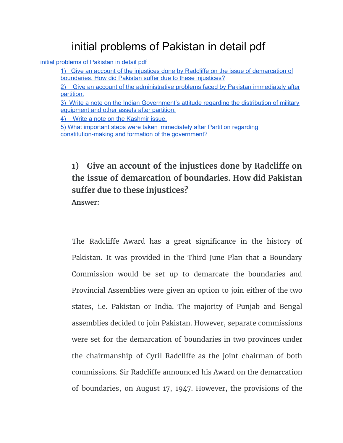# initial problems of Pakistan in detail pdf

<span id="page-0-0"></span>initial [problems](#page-0-0) of Pakistan in detail pdf

1) Give an account of the injustices done by Radcliffe on the issue of [demarcation](#page-0-1) of [boundaries.](#page-0-1) How did Pakistan suffer due to these injustices?

2) Give an account of the [administrative](#page-3-0) problems faced by Pakistan immediately after [partition.](#page-3-0)

3) Write a note on the Indian [Government's](#page-5-0) attitude regarding the distribution of military [equipment](#page-5-0) and other assets after partition.

4) Write a note on the [Kashmir](#page-8-0) issue.

5) What important steps were taken [immediately](#page-11-0) after Partition regarding [constitution-making](#page-11-0) and formation of the government?

<span id="page-0-1"></span>**1) Give an account of the injustices done by Radcliffe on the issue of demarcation of boundaries. How did Pakistan suffer due to these injustices? Answer:**

The Radcliffe Award has a great significance in the history of Pakistan. It was provided in the Third June Plan that a Boundary Commission would be set up to demarcate the boundaries and Provincial Assemblies were given an option to join either of the two states, i.e. Pakistan or India. The majority of Punjab and Bengal assemblies decided to join Pakistan. However, separate commissions were set for the demarcation of boundaries in two provinces under the chairmanship of Cyril Radcliffe as the joint chairman of both commissions. Sir Radcliffe announced his Award on the demarcation of boundaries, on August 17, 1947. However, the provisions of the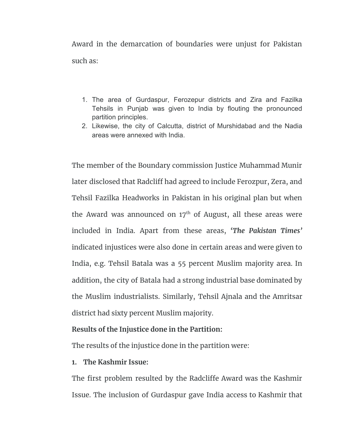Award in the demarcation of boundaries were unjust for Pakistan such as:

- 1. The area of Gurdaspur, Ferozepur districts and Zira and Fazilka Tehsils in Punjab was given to India by flouting the pronounced partition principles.
- 2. Likewise, the city of Calcutta, district of Murshidabad and the Nadia areas were annexed with India.

The member of the Boundary commission Justice Muhammad Munir later disclosed that Radcliff had agreed to include Ferozpur, Zera, and Tehsil Fazilka Headworks in Pakistan in his original plan but when the Award was announced on 17<sup>th</sup> of August, all these areas were included in India. Apart from these areas, *'The Pakistan Times'* indicated injustices were also done in certain areas and were given to India, e.g. Tehsil Batala was a 55 percent Muslim majority area. In addition, the city of Batala had a strong industrial base dominated by the Muslim industrialists. Similarly, Tehsil Ajnala and the Amritsar district had sixty percent Muslim majority.

## **Results of the Injustice done in the Partition:**

The results of the injustice done in the partition were:

## **1. The Kashmir Issue:**

The first problem resulted by the Radcliffe Award was the Kashmir Issue. The inclusion of Gurdaspur gave India access to Kashmir that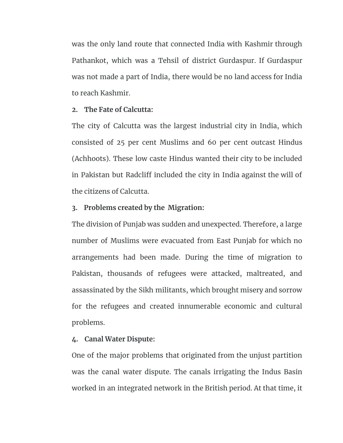was the only land route that connected India with Kashmir through Pathankot, which was a Tehsil of district Gurdaspur. If Gurdaspur was not made a part of India, there would be no land access for India to reach Kashmir.

#### **2. The Fate of Calcutta:**

The city of Calcutta was the largest industrial city in India, which consisted of 25 per cent Muslims and 60 per cent outcast Hindus (Achhoots). These low caste Hindus wanted their city to be included in Pakistan but Radcliff included the city in India against the will of the citizens of Calcutta.

#### **3. Problems created by the Migration:**

The division of Punjab was sudden and unexpected. Therefore, a large number of Muslims were evacuated from East Punjab for which no arrangements had been made. During the time of migration to Pakistan, thousands of refugees were attacked, maltreated, and assassinated by the Sikh militants, which brought misery and sorrow for the refugees and created innumerable economic and cultural problems.

#### **4. Canal Water Dispute:**

One of the major problems that originated from the unjust partition was the canal water dispute. The canals irrigating the Indus Basin worked in an integrated network in the British period. At that time, it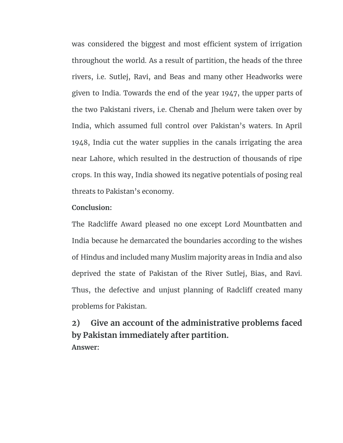was considered the biggest and most efficient system of irrigation throughout the world. As a result of partition, the heads of the three rivers, i.e. Sutlej, Ravi, and Beas and many other Headworks were given to India. Towards the end of the year 1947, the upper parts of the two Pakistani rivers, i.e. Chenab and Jhelum were taken over by India, which assumed full control over Pakistan's waters. In April 1948, India cut the water supplies in the canals irrigating the area near Lahore, which resulted in the destruction of thousands of ripe crops. In this way, India showed its negative potentials of posing real threats to Pakistan's economy.

#### **Conclusion:**

The Radcliffe Award pleased no one except Lord Mountbatten and India because he demarcated the boundaries according to the wishes of Hindus and included many Muslim majority areas in India and also deprived the state of Pakistan of the River Sutlej, Bias, and Ravi. Thus, the defective and unjust planning of Radcliff created many problems for Pakistan.

<span id="page-3-0"></span>**2) Give an account of the administrative problems faced by Pakistan immediately after partition. Answer:**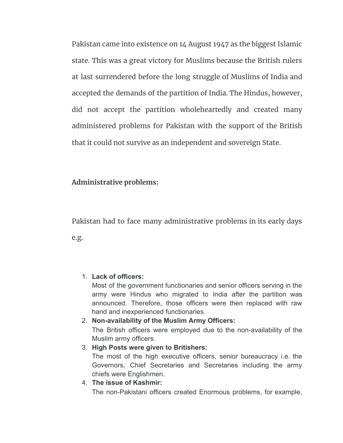Pakistan came into existence on 14 August 1947 as the biggest Islamic state. This was a great victory for Muslims because the British rulers at last surrendered before the long struggle of Muslims of India and accepted the demands of the partition of India. The Hindus, however, did not accept the partition wholeheartedly and created many administered problems for Pakistan with the support of the British that it could not survive as an independent and sovereign State.

## **Administrative problems:**

Pakistan had to face many administrative problems in its early days e.g.

#### 1. **Lack of officers:**

Most of the government functionaries and senior officers serving in the army were Hindus who migrated to India after the partition was announced. Therefore, those officers were then replaced with raw hand and inexperienced functionaries.

## 2. **Non-availability of the Muslim Army Officers:** The British officers were employed due to the non-availability of the Muslim army officers.

## 3. **High Posts were given to Britishers:** The most of the high executive officers, senior bureaucracy i.e. the Governors, Chief Secretaries and Secretaries including the army chiefs were Englishmen.

4. **The issue of Kashmir:**

The non-Pakistani officers created Enormous problems, for example,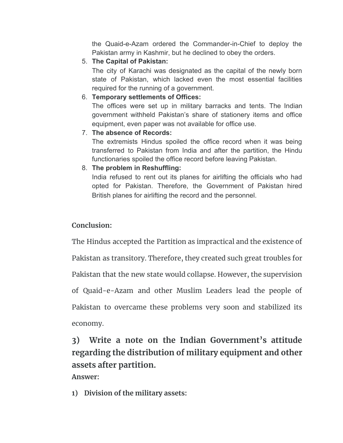the Quaid-e-Azam ordered the Commander-in-Chief to deploy the Pakistan army in Kashmir, but he declined to obey the orders.

5. **The Capital of Pakistan:**

The city of Karachi was designated as the capital of the newly born state of Pakistan, which lacked even the most essential facilities required for the running of a government.

## 6. **Temporary settlements of Offices:**

The offices were set up in military barracks and tents. The Indian government withheld Pakistan's share of stationery items and office equipment, even paper was not available for office use.

## 7. **The absence of Records:**

The extremists Hindus spoiled the office record when it was being transferred to Pakistan from India and after the partition, the Hindu functionaries spoiled the office record before leaving Pakistan.

## 8. **The problem in Reshuffling:**

India refused to rent out its planes for airlifting the officials who had opted for Pakistan. Therefore, the Government of Pakistan hired British planes for airlifting the record and the personnel.

## **Conclusion:**

The Hindus accepted the Partition as impractical and the existence of

Pakistan as transitory. Therefore, they created such great troubles for

Pakistan that the new state would collapse. However, the supervision

of Quaid-e-Azam and other Muslim Leaders lead the people of

Pakistan to overcame these problems very soon and stabilized its economy.

# <span id="page-5-0"></span>**3) Write a note on the Indian Government's attitude regarding the distribution of military equipment and other assets after partition.**

**Answer:**

**1) Division of the military assets:**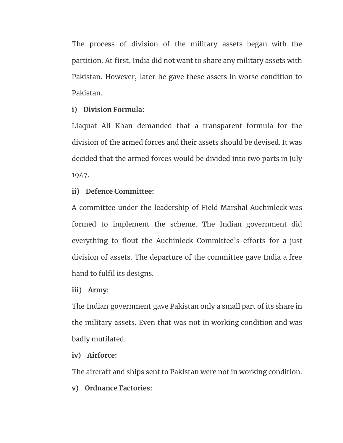The process of division of the military assets began with the partition. At first, India did not want to share any military assets with Pakistan. However, later he gave these assets in worse condition to Pakistan.

## **i) Division Formula:**

Liaquat Ali Khan demanded that a transparent formula for the division of the armed forces and their assets should be devised. It was decided that the armed forces would be divided into two parts in July 1947.

## **ii) Defence Committee:**

A committee under the leadership of Field Marshal Auchinleck was formed to implement the scheme. The Indian government did everything to flout the Auchinleck Committee's efforts for a just division of assets. The departure of the committee gave India a free hand to fulfil its designs.

## **iii) Army:**

The Indian government gave Pakistan only a small part of its share in the military assets. Even that was not in working condition and was badly mutilated.

## **iv) Airforce:**

The aircraft and ships sent to Pakistan were not in working condition.

**v) Ordnance Factories:**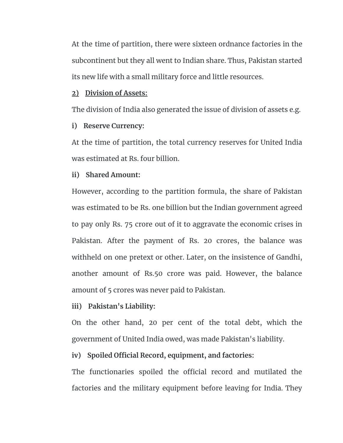At the time of partition, there were sixteen ordnance factories in the subcontinent but they all went to Indian share. Thus, Pakistan started its new life with a small military force and little resources.

#### **2) Division of Assets:**

The division of India also generated the issue of division of assets e.g.

#### **i) Reserve Currency:**

At the time of partition, the total currency reserves for United India was estimated at Rs. four billion.

#### **ii) Shared Amount:**

However, according to the partition formula, the share of Pakistan was estimated to be Rs. one billion but the Indian government agreed to pay only Rs. 75 crore out of it to aggravate the economic crises in Pakistan. After the payment of Rs. 20 crores, the balance was withheld on one pretext or other. Later, on the insistence of Gandhi, another amount of Rs.50 crore was paid. However, the balance amount of 5 crores was never paid to Pakistan.

**iii) Pakistan's Liability:**

On the other hand, 20 per cent of the total debt, which the government of United India owed, was made Pakistan's liability.

## **iv) Spoiled Official Record, equipment, and factories:**

The functionaries spoiled the official record and mutilated the factories and the military equipment before leaving for India. They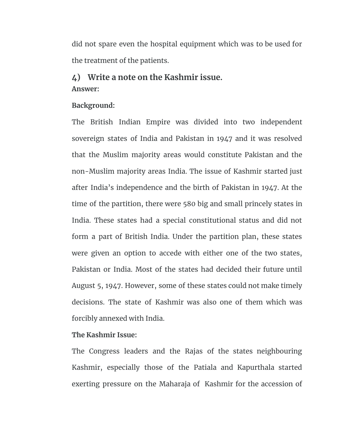did not spare even the hospital equipment which was to be used for the treatment of the patients.

# <span id="page-8-0"></span>**4) Write a note on the Kashmir issue. Answer:**

## **Background:**

The British Indian Empire was divided into two independent sovereign states of India and Pakistan in 1947 and it was resolved that the Muslim majority areas would constitute Pakistan and the non-Muslim majority areas India. The issue of Kashmir started just after India's independence and the birth of Pakistan in 1947. At the time of the partition, there were 580 big and small princely states in India. These states had a special constitutional status and did not form a part of British India. Under the partition plan, these states were given an option to accede with either one of the two states, Pakistan or India. Most of the states had decided their future until August 5, 1947. However, some of these states could not make timely decisions. The state of Kashmir was also one of them which was forcibly annexed with India.

## **The Kashmir Issue:**

The Congress leaders and the Rajas of the states neighbouring Kashmir, especially those of the Patiala and Kapurthala started exerting pressure on the Maharaja of Kashmir for the accession of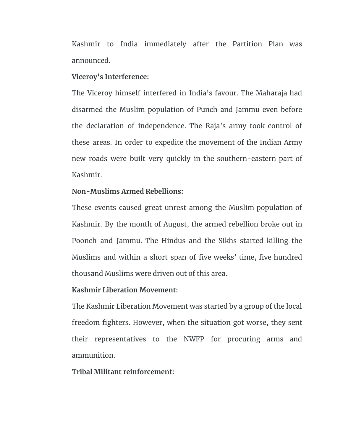Kashmir to India immediately after the Partition Plan was announced.

#### **Viceroy's Interference:**

The Viceroy himself interfered in India's favour. The Maharaja had disarmed the Muslim population of Punch and Jammu even before the declaration of independence. The Raja's army took control of these areas. In order to expedite the movement of the Indian Army new roads were built very quickly in the southern-eastern part of Kashmir.

## **Non-Muslims Armed Rebellions:**

These events caused great unrest among the Muslim population of Kashmir. By the month of August, the armed rebellion broke out in Poonch and Jammu. The Hindus and the Sikhs started killing the Muslims and within a short span of five weeks' time, five hundred thousand Muslims were driven out of this area.

## **Kashmir Liberation Movement:**

The Kashmir Liberation Movement was started by a group of the local freedom fighters. However, when the situation got worse, they sent their representatives to the NWFP for procuring arms and ammunition.

**Tribal Militant reinforcement:**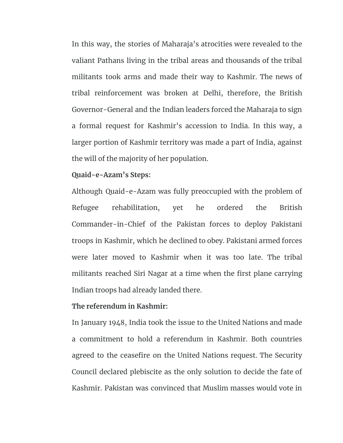In this way, the stories of Maharaja's atrocities were revealed to the valiant Pathans living in the tribal areas and thousands of the tribal militants took arms and made their way to Kashmir. The news of tribal reinforcement was broken at Delhi, therefore, the British Governor-General and the Indian leaders forced the Maharaja to sign a formal request for Kashmir's accession to India. In this way, a larger portion of Kashmir territory was made a part of India, against the will of the majority of her population.

#### **Quaid-e-Azam's Steps:**

Although Quaid-e-Azam was fully preoccupied with the problem of Refugee rehabilitation, yet he ordered the British Commander-in-Chief of the Pakistan forces to deploy Pakistani troops in Kashmir, which he declined to obey. Pakistani armed forces were later moved to Kashmir when it was too late. The tribal militants reached Siri Nagar at a time when the first plane carrying Indian troops had already landed there.

#### **The referendum in Kashmir:**

In January 1948, India took the issue to the United Nations and made a commitment to hold a referendum in Kashmir. Both countries agreed to the ceasefire on the United Nations request. The Security Council declared plebiscite as the only solution to decide the fate of Kashmir. Pakistan was convinced that Muslim masses would vote in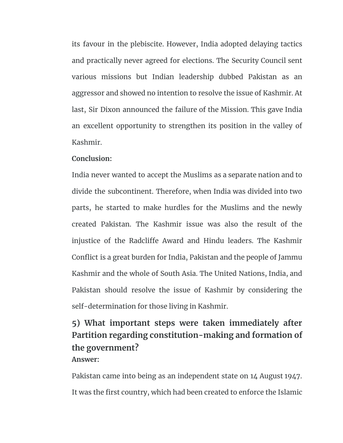its favour in the plebiscite. However, India adopted delaying tactics and practically never agreed for elections. The Security Council sent various missions but Indian leadership dubbed Pakistan as an aggressor and showed no intention to resolve the issue of Kashmir. At last, Sir Dixon announced the failure of the Mission. This gave India an excellent opportunity to strengthen its position in the valley of Kashmir.

#### **Conclusion:**

India never wanted to accept the Muslims as a separate nation and to divide the subcontinent. Therefore, when India was divided into two parts, he started to make hurdles for the Muslims and the newly created Pakistan. The Kashmir issue was also the result of the injustice of the Radcliffe Award and Hindu leaders. The Kashmir Conflict is a great burden for India, Pakistan and the people of Jammu Kashmir and the whole of South Asia. The United Nations, India, and Pakistan should resolve the issue of Kashmir by considering the self-determination for those living in Kashmir.

## <span id="page-11-0"></span>**5) What important steps were taken immediately after Partition regarding constitution-making and formation of the government? Answer:**

Pakistan came into being as an independent state on 14 August 1947. It was the first country, which had been created to enforce the Islamic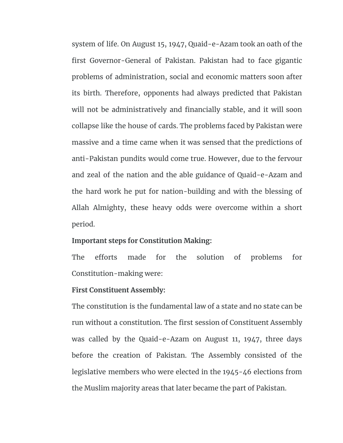system of life. On August 15, 1947, Quaid-e-Azam took an oath of the first Governor-General of Pakistan. Pakistan had to face gigantic problems of administration, social and economic matters soon after its birth. Therefore, opponents had always predicted that Pakistan will not be administratively and financially stable, and it will soon collapse like the house of cards. The problems faced by Pakistan were massive and a time came when it was sensed that the predictions of anti-Pakistan pundits would come true. However, due to the fervour and zeal of the nation and the able guidance of Quaid-e-Azam and the hard work he put for nation-building and with the blessing of Allah Almighty, these heavy odds were overcome within a short period.

#### **Important steps for Constitution Making:**

The efforts made for the solution of problems for Constitution-making were:

#### **First Constituent Assembly:**

The constitution is the fundamental law of a state and no state can be run without a constitution. The first session of Constituent Assembly was called by the Quaid-e-Azam on August 11, 1947, three days before the creation of Pakistan. The Assembly consisted of the legislative members who were elected in the 1945-46 elections from the Muslim majority areas that later became the part of Pakistan.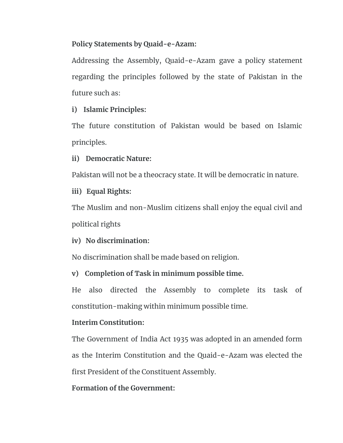## **Policy Statements by Quaid-e-Azam:**

Addressing the Assembly, Quaid-e-Azam gave a policy statement regarding the principles followed by the state of Pakistan in the future such as:

## **i) Islamic Principles:**

The future constitution of Pakistan would be based on Islamic principles.

**ii) Democratic Nature:**

Pakistan will not be a theocracy state. It will be democratic in nature.

## **iii) Equal Rights:**

The Muslim and non-Muslim citizens shall enjoy the equal civil and political rights

**iv) No discrimination:**

No discrimination shall be made based on religion.

## **v) Completion of Task in minimum possible time.**

He also directed the Assembly to complete its task of constitution-making within minimum possible time.

## **Interim Constitution:**

The Government of India Act 1935 was adopted in an amended form as the Interim Constitution and the Quaid-e-Azam was elected the first President of the Constituent Assembly.

**Formation of the Government:**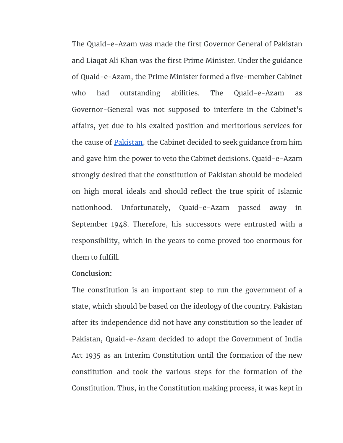The Quaid-e-Azam was made the first Governor General of Pakistan and Liaqat Ali Khan was the first Prime Minister. Under the guidance of Quaid-e-Azam, the Prime Minister formed a five-member Cabinet who had outstanding abilities. The Quaid-e-Azam as Governor-General was not supposed to interfere in the Cabinet's affairs, yet due to his exalted position and meritorious services for the cause of [Pakistan,](https://www.perfect24u.com/) the Cabinet decided to seek guidance from him and gave him the power to veto the Cabinet decisions. Quaid-e-Azam strongly desired that the constitution of Pakistan should be modeled on high moral ideals and should reflect the true spirit of Islamic nationhood. Unfortunately, Quaid-e-Azam passed away in September 1948. Therefore, his successors were entrusted with a responsibility, which in the years to come proved too enormous for them to fulfill.

#### **Conclusion:**

The constitution is an important step to run the government of a state, which should be based on the ideology of the country. Pakistan after its independence did not have any constitution so the leader of Pakistan, Quaid-e-Azam decided to adopt the Government of India Act 1935 as an Interim Constitution until the formation of the new constitution and took the various steps for the formation of the Constitution. Thus, in the Constitution making process, it was kept in